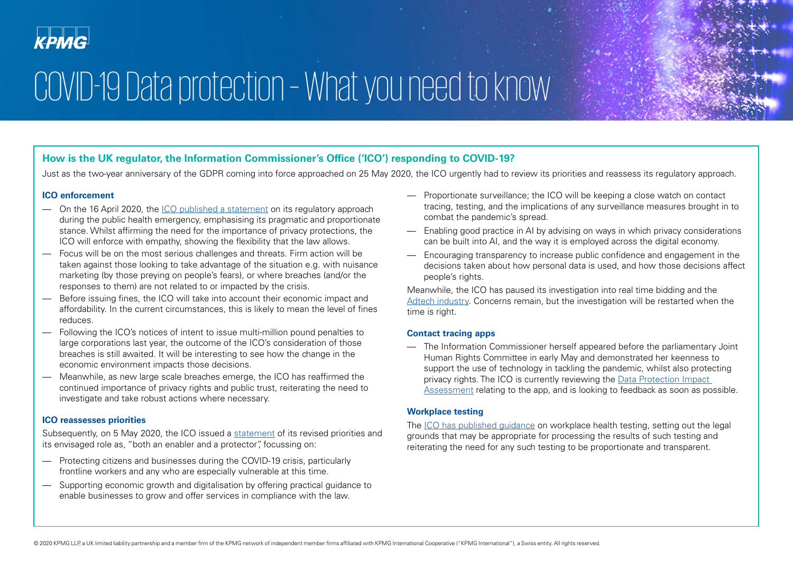# COVID-19 Data protection – What you need to know

## **How is the UK regulator, the Information Commissioner's Office ('ICO') responding to COVID-19?**

Just as the two-year anniversary of the GDPR coming into force approached on 25 May 2020, the ICO urgently had to review its priorities and reassess its regulatory approach.

## **ICO enforcement**

- On the 16 April 2020, the [ICO published a statement](http://•	The ICO confirmed in a statement dated 28th March 2020 that privacy laws are not breached as long as appropriate safeguards are in place and the data is properly anonymised and aggregated.  
•	On 24th April 2020, the ICO stated that they have been working with NHSX on a contact tracing app being developed to tackle the pandemic. They recognise the urgency, the vital role of data and the need to maintain public trust in its use.
) on its regulatory approach during the public health emergency, emphasising its pragmatic and proportionate stance. Whilst affirming the need for the importance of privacy protections, the ICO will enforce with empathy, showing the flexibility that the law allows.
- Focus will be on the most serious challenges and threats. Firm action will be taken against those looking to take advantage of the situation e.g. with nuisance marketing (by those preying on people's fears), or where breaches (and/or the responses to them) are not related to or impacted by the crisis.
- Before issuing fines, the ICO will take into account their economic impact and affordability. In the current circumstances, this is likely to mean the level of fines reduces.
- Following the ICO's notices of intent to issue multi-million pound penalties to large corporations last year, the outcome of the ICO's consideration of those breaches is still awaited. It will be interesting to see how the change in the economic environment impacts those decisions.
- Meanwhile, as new large scale breaches emerge, the ICO has reaffirmed the continued importance of privacy rights and public trust, reiterating the need to investigate and take robust actions where necessary.

## **ICO reassesses priorities**

Subsequently, on 5 May 2020, the ICO issued a [statement](https://ico.org.uk/about-the-ico/news-and-events/news-and-blogs/2020/05/new-priorities-for-uk-data-protection-during-covid-19-and-beyond/) of its revised priorities and its envisaged role as, "both an enabler and a protector", focussing on:

- Protecting citizens and businesses during the COVID-19 crisis, particularly frontline workers and any who are especially vulnerable at this time.
- Supporting economic growth and digitalisation by offering practical guidance to enable businesses to grow and offer services in compliance with the law.
- Proportionate surveillance; the ICO will be keeping a close watch on contact tracing, testing, and the implications of any surveillance measures brought in to combat the pandemic's spread.
- Enabling good practice in AI by advising on ways in which privacy considerations can be built into AI, and the way it is employed across the digital economy.
- Encouraging transparency to increase public confidence and engagement in the decisions taken about how personal data is used, and how those decisions affect people's rights.

Meanwhile, the ICO has paused its investigation into real time bidding and the [Adtech industry.](https://ico.org.uk/about-the-ico/news-and-events/news-and-blogs/2020/05/ico-statement-on-adtech-work/) Concerns remain, but the investigation will be restarted when the time is right.

### **Contact tracing apps**

— The Information Commissioner herself appeared before the parliamentary Joint Human Rights Committee in early May and demonstrated her keenness to support the use of technology in tackling the pandemic, whilst also protecting privacy rights. The ICO is currently reviewing the [Data Protection Impact](https://ico.org.uk/about-the-ico/news-and-events/news-and-blogs/2020/05/dpia-for-the-nhsx-s-trial-of-contact-tracing-app/)  [Assessment](https://ico.org.uk/about-the-ico/news-and-events/news-and-blogs/2020/05/dpia-for-the-nhsx-s-trial-of-contact-tracing-app/) relating to the app, and is looking to feedback as soon as possible.

## **Workplace testing**

The [ICO has published guidance](https://ico.org.uk/global/data-protection-and-coronavirus-information-hub/data-protection-and-coronavirus/workplace-testing-guidance-for-employers/) on workplace health testing, setting out the legal grounds that may be appropriate for processing the results of such testing and reiterating the need for any such testing to be proportionate and transparent.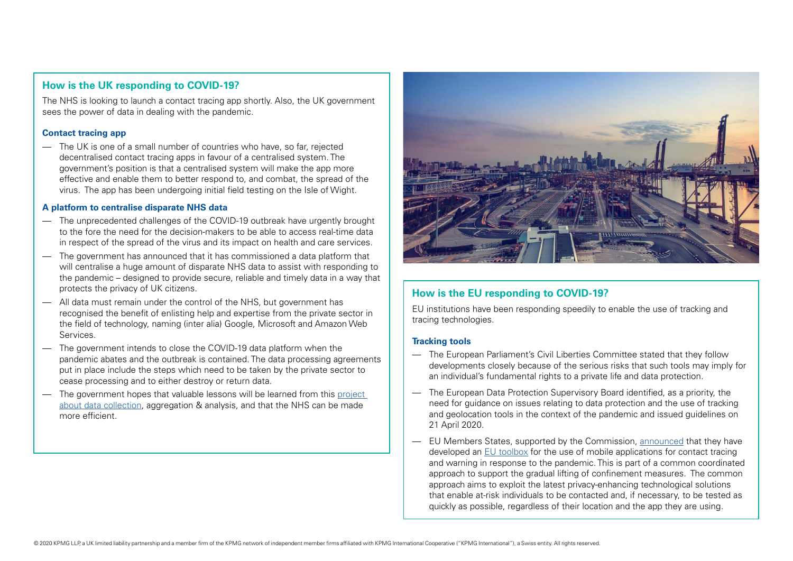## **How is the UK responding to COVID-19?**

The NHS is looking to launch a contact tracing app shortly. Also, the UK government sees the power of data in dealing with the pandemic.

#### **Contact tracing app**

— The UK is one of a small number of countries who have, so far, rejected decentralised contact tracing apps in favour of a centralised system. The government's position is that a centralised system will make the app more effective and enable them to better respond to, and combat, the spread of the virus. The app has been undergoing initial field testing on the Isle of Wight.

#### **A platform to centralise disparate NHS data**

- The unprecedented challenges of the COVID-19 outbreak have urgently brought to the fore the need for the decision-makers to be able to access real-time data in respect of the spread of the virus and its impact on health and care services.
- The government has announced that it has commissioned a data platform that will centralise a huge amount of disparate NHS data to assist with responding to the pandemic – designed to provide secure, reliable and timely data in a way that protects the privacy of UK citizens.
- All data must remain under the control of the NHS, but government has recognised the benefit of enlisting help and expertise from the private sector in the field of technology, naming (inter alia) Google, Microsoft and Amazon Web Services.
- The government intends to close the COVID-19 data platform when the pandemic abates and the outbreak is contained. The data processing agreements put in place include the steps which need to be taken by the private sector to cease processing and to either destroy or return data.
- The government hopes that valuable lessons will be learned from this [project](https://healthtech.blog.gov.uk/2020/03/28/the-power-of-data-in-a-pandemic/)  [about data collection](https://healthtech.blog.gov.uk/2020/03/28/the-power-of-data-in-a-pandemic/), aggregation & analysis, and that the NHS can be made more efficient.



## **How is the EU responding to COVID-19?**

EU institutions have been responding speedily to enable the use of tracking and tracing technologies.

#### **Tracking tools**

- The European Parliament's Civil Liberties Committee stated that they follow developments closely because of the serious risks that such tools may imply for an individual's fundamental rights to a private life and data protection.
- The European Data Protection Supervisory Board identified, as a priority, the need for guidance on issues relating to data protection and the use of tracking and geolocation tools in the context of the pandemic and issued guidelines on 21 April 2020.
- EU Members States, supported by the Commission, [announced](https://ec.europa.eu/commission/presscorner/detail/en/ip_20_670) that they have developed an [EU toolbox](https://ec.europa.eu/health/sites/health/files/ehealth/docs/covid-19_apps_en.pdf) for the use of mobile applications for contact tracing and warning in response to the pandemic. This is part of a common coordinated approach to support the gradual lifting of confinement measures. The common approach aims to exploit the latest privacy-enhancing technological solutions that enable at-risk individuals to be contacted and, if necessary, to be tested as quickly as possible, regardless of their location and the app they are using.